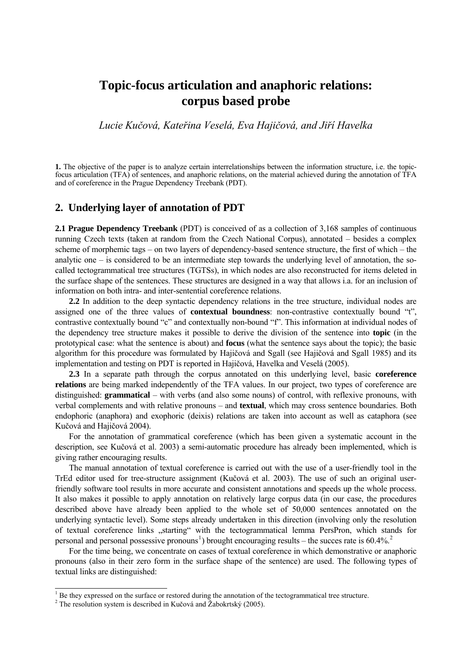# **Topic-focus articulation and anaphoric relations: corpus based probe**

*Lucie Kučová, Kateřina Veselá, Eva Hajičová, and Jiří Havelka* 

**1.** The objective of the paper is to analyze certain interrelationships between the information structure, i.e. the topicfocus articulation (TFA) of sentences, and anaphoric relations, on the material achieved during the annotation of TFA and of coreference in the Prague Dependency Treebank (PDT).

#### **2. Underlying layer of annotation of PDT**

**2.1 Prague Dependency Treebank** (PDT) is conceived of as a collection of 3,168 samples of continuous running Czech texts (taken at random from the Czech National Corpus), annotated – besides a complex scheme of morphemic tags – on two layers of dependency-based sentence structure, the first of which – the analytic one – is considered to be an intermediate step towards the underlying level of annotation, the socalled tectogrammatical tree structures (TGTSs), in which nodes are also reconstructed for items deleted in the surface shape of the sentences. These structures are designed in a way that allows i.a. for an inclusion of information on both intra- and inter-sentential coreference relations.

**2.2** In addition to the deep syntactic dependency relations in the tree structure, individual nodes are assigned one of the three values of **contextual boundness**: non-contrastive contextually bound "t", contrastive contextually bound "c" and contextually non-bound "f". This information at individual nodes of the dependency tree structure makes it possible to derive the division of the sentence into **topic** (in the prototypical case: what the sentence is about) and **focus** (what the sentence says about the topic); the basic algorithm for this procedure was formulated by Hajičová and Sgall (see Hajičová and Sgall 1985) and its implementation and testing on PDT is reported in Hajičová, Havelka and Veselá (2005).

**2.3** In a separate path through the corpus annotated on this underlying level, basic **coreference relations** are being marked independently of the TFA values. In our project, two types of coreference are distinguished: **grammatical** – with verbs (and also some nouns) of control, with reflexive pronouns, with verbal complements and with relative pronouns – and **textual**, which may cross sentence boundaries. Both endophoric (anaphora) and exophoric (deixis) relations are taken into account as well as cataphora (see Kučová and Hajičová 2004).

For the annotation of grammatical coreference (which has been given a systematic account in the description, see Kučová et al. 2003) a semi-automatic procedure has already been implemented, which is giving rather encouraging results.

The manual annotation of textual coreference is carried out with the use of a user-friendly tool in the TrEd editor used for tree-structure assignment (Kučová et al. 2003). The use of such an original userfriendly software tool results in more accurate and consistent annotations and speeds up the whole process. It also makes it possible to apply annotation on relatively large corpus data (in our case, the procedures described above have already been applied to the whole set of 50,000 sentences annotated on the underlying syntactic level). Some steps already undertaken in this direction (involving only the resolution of textual coreference links "starting" with the tectogrammatical lemma PersPron, which stands for personal and personal possessive pronouns<sup>[1](#page-0-0)</sup>) brought encouraging results – the succes rate is  $60.4\%$ <sup>[2](#page-0-1)</sup>

For the time being, we concentrate on cases of textual coreference in which demonstrative or anaphoric pronouns (also in their zero form in the surface shape of the sentence) are used. The following types of textual links are distinguished:

 $\frac{1}{1}$  Be they expressed on the surface or restored during the annotation of the tectogrammatical tree structure.

<span id="page-0-1"></span><span id="page-0-0"></span><sup>&</sup>lt;sup>2</sup> The resolution system is described in Kučová and Žabokrtský (2005).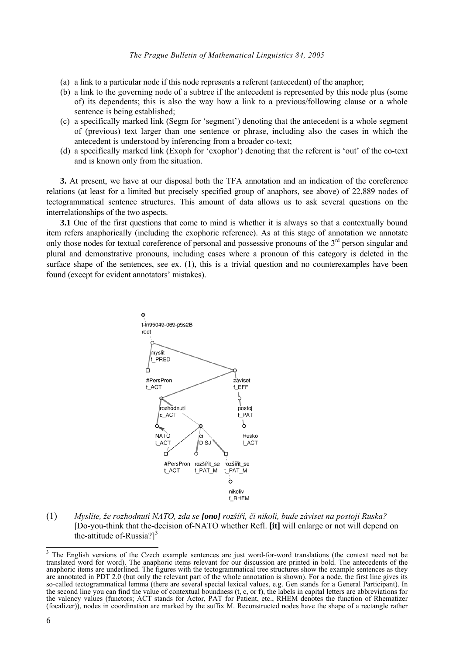- (a) a link to a particular node if this node represents a referent (antecedent) of the anaphor;
- (b) a link to the governing node of a subtree if the antecedent is represented by this node plus (some of) its dependents; this is also the way how a link to a previous/following clause or a whole sentence is being established;
- (c) a specifically marked link (Segm for 'segment') denoting that the antecedent is a whole segment of (previous) text larger than one sentence or phrase, including also the cases in which the antecedent is understood by inferencing from a broader co-text;
- (d) a specifically marked link (Exoph for 'exophor') denoting that the referent is 'out' of the co-text and is known only from the situation.

**3.** At present, we have at our disposal both the TFA annotation and an indication of the coreference relations (at least for a limited but precisely specified group of anaphors, see above) of 22,889 nodes of tectogrammatical sentence structures. This amount of data allows us to ask several questions on the interrelationships of the two aspects.

**3.1** One of the first questions that come to mind is whether it is always so that a contextually bound item refers anaphorically (including the exophoric reference). As at this stage of annotation we annotate only those nodes for textual coreference of personal and possessive pronouns of the  $3<sup>rd</sup>$  person singular and plural and demonstrative pronouns, including cases where a pronoun of this category is deleted in the surface shape of the sentences, see ex. (1), this is a trivial question and no counterexamples have been found (except for evident annotators' mistakes).



(1) *Myslíte, že rozhodnutí NATO, zda se [ono] rozšíří, či nikoli, bude záviset na postoji Ruska?*  [Do-you-think that the-decision of-NATO whether Refl. **[it]** will enlarge or not will depend on the-attitude of-Russia?]<sup>[3](#page-1-0)</sup>

 $\overline{a}$ 

<span id="page-1-0"></span><sup>3</sup> The English versions of the Czech example sentences are just word-for-word translations (the context need not be translated word for word). The anaphoric items relevant for our discussion are printed in bold. The antecedents of the anaphoric items are underlined. The figures with the tectogrammatical tree structures show the example sentences as they are annotated in PDT 2.0 (but only the relevant part of the whole annotation is shown). For a node, the first line gives its so-called tectogrammatical lemma (there are several special lexical values, e.g. Gen stands for a General Participant). In the second line you can find the value of contextual boundness (t, c, or f), the labels in capital the valency values (functors; ACT stands for Actor, PAT for Patient, etc., RHEM denotes the function of Rhematizer (focalizer)), nodes in coordination are marked by the suffix M. Reconstructed nodes have the shape of a rectangle rather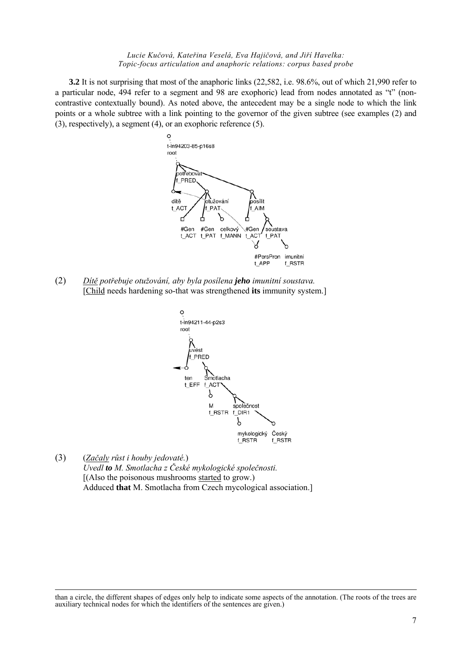#### *Lucie Kučová, Kateřina Veselá, Eva Hajičová, and Jiří Havelka: Topic-focus articulation and anaphoric relations: corpus based probe*

**3.2** It is not surprising that most of the anaphoric links (22,582, i.e. 98.6%, out of which 21,990 refer to a particular node, 494 refer to a segment and 98 are exophoric) lead from nodes annotated as "t" (noncontrastive contextually bound). As noted above, the antecedent may be a single node to which the link points or a whole subtree with a link pointing to the governor of the given subtree (see examples (2) and (3), respectively), a segment (4), or an exophoric reference (5).



(2) *Dítě potřebuje otužování, aby byla posílena jeho imunitní soustava.*  [Child needs hardening so-that was strengthened **its** immunity system.]



(3) (*Začaly růst i houby jedovaté.*) *Uvedl to M. Smotlacha z České mykologické společnosti.*  [(Also the poisonous mushrooms started to grow.) Adduced **that** M. Smotlacha from Czech mycological association.]

-

than a circle, the different shapes of edges only help to indicate some aspects of the annotation. (The roots of the trees are auxiliary technical nodes for which the identifiers of the sentences are given.)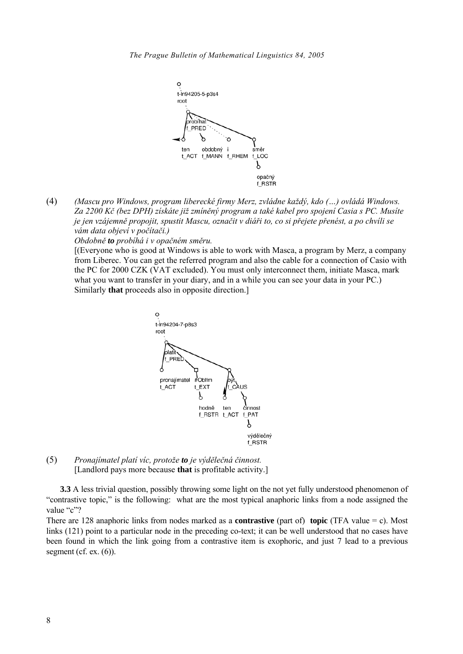

(4) *(Mascu pro Windows, program liberecké firmy Merz, zvládne každý, kdo (…) ovládá Windows. Za 2200 Kč (bez DPH) získáte již zmíněný program a také kabel pro spojení Casia s PC. Musíte je jen vzájemně propojit, spustit Mascu, označit v diáři to, co si přejete přenést, a po chvíli se vám data objeví v počítači.)* 

*Obdobně to probíhá i v opačném směru.*

[(Everyone who is good at Windows is able to work with Masca, a program by Merz, a company from Liberec. You can get the referred program and also the cable for a connection of Casio with the PC for 2000 CZK (VAT excluded). You must only interconnect them, initiate Masca, mark what you want to transfer in your diary, and in a while you can see your data in your PC.) Similarly **that** proceeds also in opposite direction.]



(5) *Pronajímatel platí víc, protože to je výdělečná činnost.*  [Landlord pays more because **that** is profitable activity.]

**3.3** A less trivial question, possibly throwing some light on the not yet fully understood phenomenon of "contrastive topic," is the following: what are the most typical anaphoric links from a node assigned the value "c"?

There are 128 anaphoric links from nodes marked as a **contrastive** (part of) **topic** (TFA value = c). Most links (121) point to a particular node in the preceding co-text; it can be well understood that no cases have been found in which the link going from a contrastive item is exophoric, and just 7 lead to a previous segment (cf. ex.  $(6)$ ).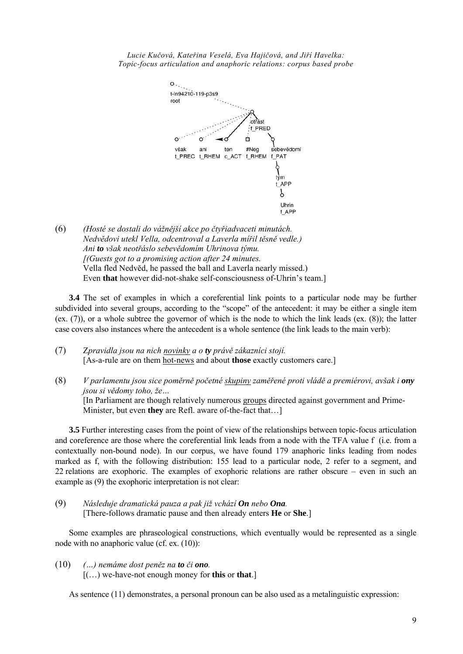*Lucie Kučová, Kateřina Veselá, Eva Hajičová, and Jiří Havelka: Topic-focus articulation and anaphoric relations: corpus based probe* 



(6) *(Hosté se dostali do vážnější akce po čtyřiadvaceti minutách. Nedvĕdovi utekl Vella, odcentroval a Laverla mířil těsně vedle.) Ani to však neotřáslo sebevědomím Uhrinova týmu. [(Guests got to a promising action after 24 minutes.* Vella fled Nedvĕd, he passed the ball and Laverla nearly missed.) Even **that** however did-not-shake self-consciousness of-Uhrin's team.]

**3.4** The set of examples in which a coreferential link points to a particular node may be further subdivided into several groups, according to the "scope" of the antecedent: it may be either a single item (ex. (7)), or a whole subtree the governor of which is the node to which the link leads (ex. (8)); the latter case covers also instances where the antecedent is a whole sentence (the link leads to the main verb):

(7) Z*pravidla jsou na nich novinky a o ty právě zákazníci stojí.* [As-a-rule are on them hot-news and about **those** exactly customers care.]

(8) *V parlamentu jsou sice poměrně početné skupiny zaměřené proti vládě a premiérovi, avšak i ony jsou si vědomy toho, že…* [In Parliament are though relatively numerous groups directed against government and Prime-Minister, but even **they** are Refl. aware of-the-fact that…]

**3.5** Further interesting cases from the point of view of the relationships between topic-focus articulation and coreference are those where the coreferential link leads from a node with the TFA value f (i.e. from a contextually non-bound node). In our corpus, we have found 179 anaphoric links leading from nodes marked as f, with the following distribution: 155 lead to a particular node, 2 refer to a segment, and 22 relations are exophoric. The examples of exophoric relations are rather obscure – even in such an example as (9) the exophoric interpretation is not clear:

(9) *Následuje dramatická pauza a pak již vchází On nebo Ona.* [There-follows dramatic pause and then already enters **He** or **She**.]

Some examples are phraseological constructions, which eventually would be represented as a single node with no anaphoric value (cf. ex. (10)):

(10) *(…) nemáme dost peněz na to či ono.* [(…) we-have-not enough money for **this** or **that**.]

As sentence (11) demonstrates, a personal pronoun can be also used as a metalinguistic expression: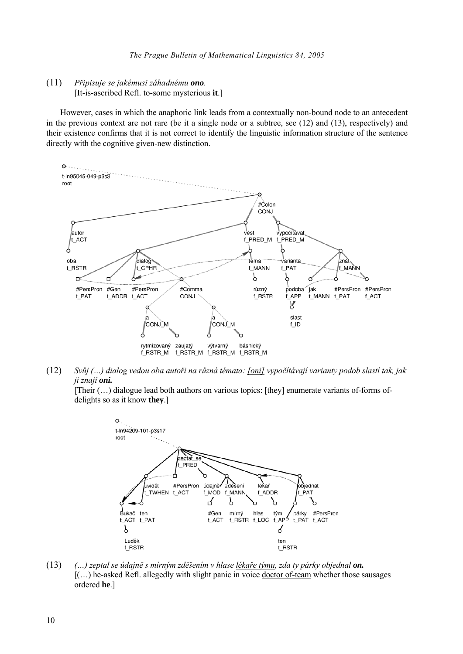(11 *Připisuje se jakémusi záhadnému ono.* [It-is-ascribed Refl. to-some mysterious it.]  $(11)$ 

However, cases in which the anaphoric link leads from a contextually non-bound node to an antecedent in t he previous context are not rare (be it a single node or a subtree, see (12) and (13), respectively) and their existence confirms that it is not correct to identify the linguistic information structure of the sentence directly with the cognitive given-new distinction.



(12) *Svůj (…) dialog vedou oba autoři na různá témata: [oni] vypočítávají varianty podob slastí tak, jak ji znají oni.* 

[Their (…) dialogue lead both authors on various topics: [they] enumerate variants of-forms ofdelights so as it know **they**.]



(13) *(…) zeptal se údajně s mírným zděšením v hlase lékaře týmu, zda ty párky objednal on.*  [(…) he-asked Refl. allegedly with slight panic in voice doctor of-team whether those sausages ordered **he**.]